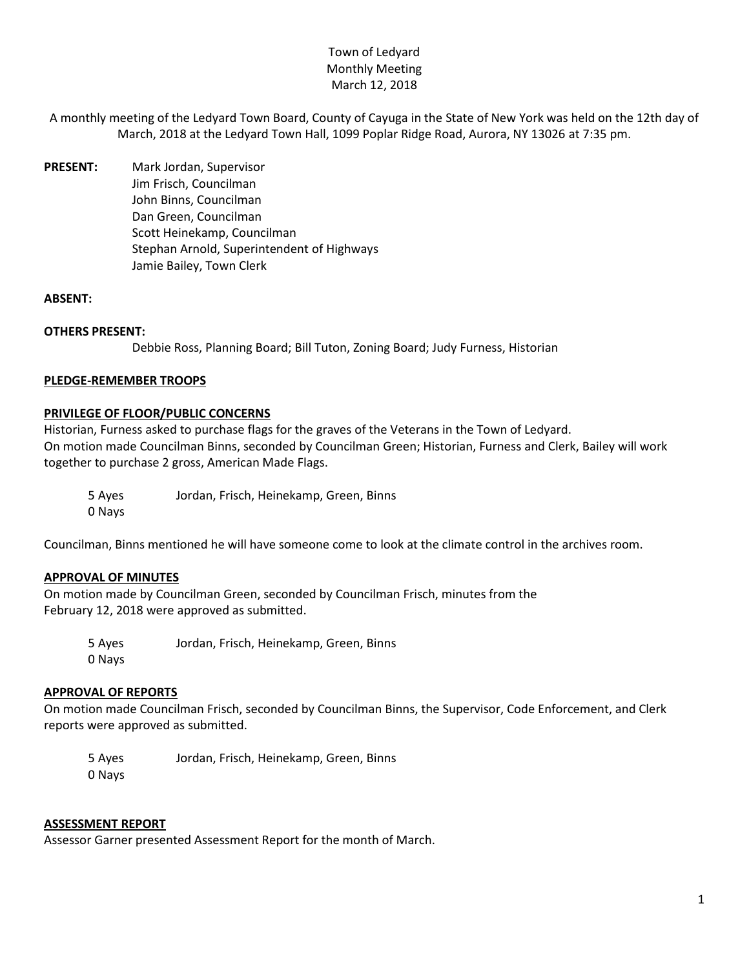# Town of Ledyard Monthly Meeting March 12, 2018

- A monthly meeting of the Ledyard Town Board, County of Cayuga in the State of New York was held on the 12th day of March, 2018 at the Ledyard Town Hall, 1099 Poplar Ridge Road, Aurora, NY 13026 at 7:35 pm.
- **PRESENT:** Mark Jordan, Supervisor Jim Frisch, Councilman John Binns, Councilman Dan Green, Councilman Scott Heinekamp, Councilman Stephan Arnold, Superintendent of Highways Jamie Bailey, Town Clerk

### **ABSENT:**

#### **OTHERS PRESENT:**

Debbie Ross, Planning Board; Bill Tuton, Zoning Board; Judy Furness, Historian

#### **PLEDGE-REMEMBER TROOPS**

#### **PRIVILEGE OF FLOOR/PUBLIC CONCERNS**

Historian, Furness asked to purchase flags for the graves of the Veterans in the Town of Ledyard. On motion made Councilman Binns, seconded by Councilman Green; Historian, Furness and Clerk, Bailey will work together to purchase 2 gross, American Made Flags.

5 Ayes Jordan, Frisch, Heinekamp, Green, Binns 0 Nays

Councilman, Binns mentioned he will have someone come to look at the climate control in the archives room.

### **APPROVAL OF MINUTES**

On motion made by Councilman Green, seconded by Councilman Frisch, minutes from the February 12, 2018 were approved as submitted.

5 Ayes Jordan, Frisch, Heinekamp, Green, Binns 0 Nays

# **APPROVAL OF REPORTS**

On motion made Councilman Frisch, seconded by Councilman Binns, the Supervisor, Code Enforcement, and Clerk reports were approved as submitted.

5 Ayes Jordan, Frisch, Heinekamp, Green, Binns 0 Nays

#### **ASSESSMENT REPORT**

Assessor Garner presented Assessment Report for the month of March.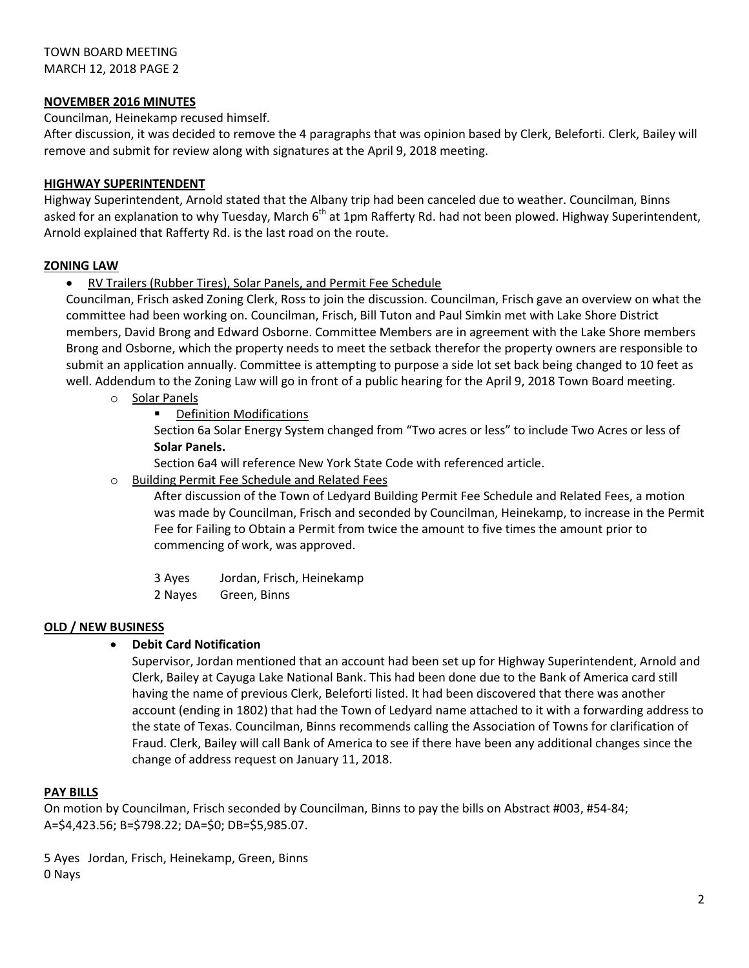# **NOVEMBER 2016 MINUTES**

### Councilman, Heinekamp recused himself.

After discussion, it was decided to remove the 4 paragraphs that was opinion based by Clerk, Beleforti. Clerk, Bailey will remove and submit for review along with signatures at the April 9, 2018 meeting.

## **HIGHWAY SUPERINTENDENT**

Highway Superintendent, Arnold stated that the Albany trip had been canceled due to weather. Councilman, Binns asked for an explanation to why Tuesday, March  $6<sup>th</sup>$  at 1pm Rafferty Rd. had not been plowed. Highway Superintendent, Arnold explained that Rafferty Rd. is the last road on the route.

# **ZONING LAW**

RV Trailers (Rubber Tires), Solar Panels, and Permit Fee Schedule

Councilman, Frisch asked Zoning Clerk, Ross to join the discussion. Councilman, Frisch gave an overview on what the committee had been working on. Councilman, Frisch, Bill Tuton and Paul Simkin met with Lake Shore District members, David Brong and Edward Osborne. Committee Members are in agreement with the Lake Shore members Brong and Osborne, which the property needs to meet the setback therefor the property owners are responsible to submit an application annually. Committee is attempting to purpose a side lot set back being changed to 10 feet as well. Addendum to the Zoning Law will go in front of a public hearing for the April 9, 2018 Town Board meeting.

- o Solar Panels
	- Definition Modifications

Section 6a Solar Energy System changed from "Two acres or less" to include Two Acres or less of **Solar Panels.**

Section 6a4 will reference New York State Code with referenced article.

o Building Permit Fee Schedule and Related Fees

After discussion of the Town of Ledyard Building Permit Fee Schedule and Related Fees, a motion was made by Councilman, Frisch and seconded by Councilman, Heinekamp, to increase in the Permit Fee for Failing to Obtain a Permit from twice the amount to five times the amount prior to commencing of work, was approved.

- 3 Ayes Jordan, Frisch, Heinekamp
- 2 Nayes Green, Binns

### **OLD / NEW BUSINESS**

### **Debit Card Notification**

Supervisor, Jordan mentioned that an account had been set up for Highway Superintendent, Arnold and Clerk, Bailey at Cayuga Lake National Bank. This had been done due to the Bank of America card still having the name of previous Clerk, Beleforti listed. It had been discovered that there was another account (ending in 1802) that had the Town of Ledyard name attached to it with a forwarding address to the state of Texas. Councilman, Binns recommends calling the Association of Towns for clarification of Fraud. Clerk, Bailey will call Bank of America to see if there have been any additional changes since the change of address request on January 11, 2018.

### **PAY BILLS**

On motion by Councilman, Frisch seconded by Councilman, Binns to pay the bills on Abstract #003, #54-84; A=\$4,423.56; B=\$798.22; DA=\$0; DB=\$5,985.07.

5 Ayes Jordan, Frisch, Heinekamp, Green, Binns 0 Nays